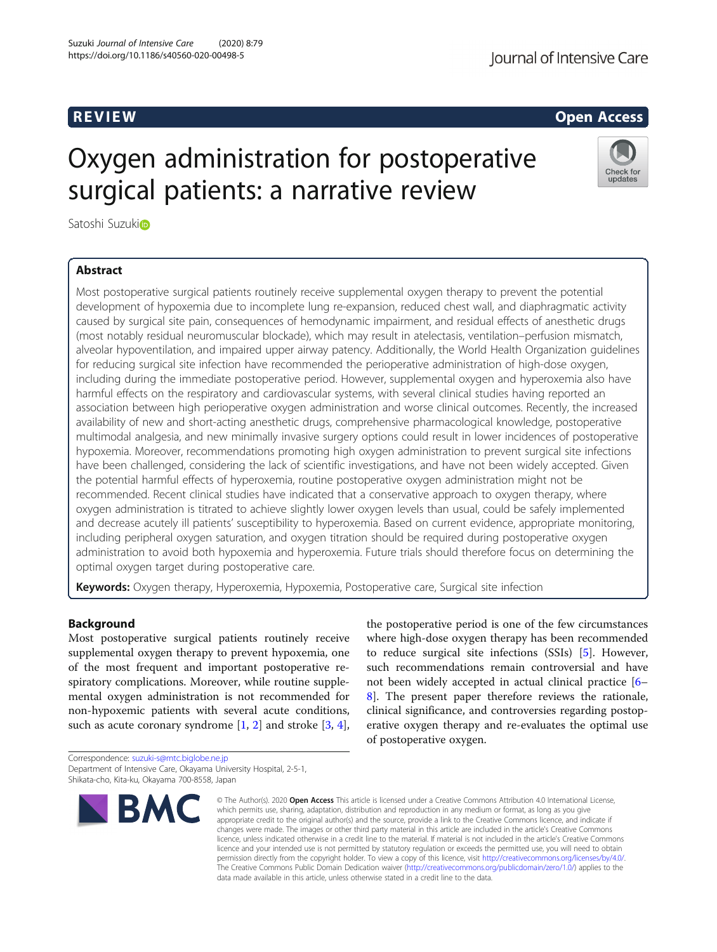## Journal of Intensive Care

## R EVI EW Open Access

Check for updates

# Oxygen administration for postoperative surgical patients: a narrative review

Satoshi Suzuki<sup>o</sup>

## Abstract

Most postoperative surgical patients routinely receive supplemental oxygen therapy to prevent the potential development of hypoxemia due to incomplete lung re-expansion, reduced chest wall, and diaphragmatic activity caused by surgical site pain, consequences of hemodynamic impairment, and residual effects of anesthetic drugs (most notably residual neuromuscular blockade), which may result in atelectasis, ventilation–perfusion mismatch, alveolar hypoventilation, and impaired upper airway patency. Additionally, the World Health Organization guidelines for reducing surgical site infection have recommended the perioperative administration of high-dose oxygen, including during the immediate postoperative period. However, supplemental oxygen and hyperoxemia also have harmful effects on the respiratory and cardiovascular systems, with several clinical studies having reported an association between high perioperative oxygen administration and worse clinical outcomes. Recently, the increased availability of new and short-acting anesthetic drugs, comprehensive pharmacological knowledge, postoperative multimodal analgesia, and new minimally invasive surgery options could result in lower incidences of postoperative hypoxemia. Moreover, recommendations promoting high oxygen administration to prevent surgical site infections have been challenged, considering the lack of scientific investigations, and have not been widely accepted. Given the potential harmful effects of hyperoxemia, routine postoperative oxygen administration might not be recommended. Recent clinical studies have indicated that a conservative approach to oxygen therapy, where oxygen administration is titrated to achieve slightly lower oxygen levels than usual, could be safely implemented and decrease acutely ill patients' susceptibility to hyperoxemia. Based on current evidence, appropriate monitoring, including peripheral oxygen saturation, and oxygen titration should be required during postoperative oxygen administration to avoid both hypoxemia and hyperoxemia. Future trials should therefore focus on determining the optimal oxygen target during postoperative care.

Keywords: Oxygen therapy, Hyperoxemia, Hypoxemia, Postoperative care, Surgical site infection

## Background

Most postoperative surgical patients routinely receive supplemental oxygen therapy to prevent hypoxemia, one of the most frequent and important postoperative respiratory complications. Moreover, while routine supplemental oxygen administration is not recommended for non-hypoxemic patients with several acute conditions, such as acute coronary syndrome  $[1, 2]$  $[1, 2]$  $[1, 2]$  $[1, 2]$  and stroke  $[3, 4]$  $[3, 4]$  $[3, 4]$  $[3, 4]$ ,

Correspondence: [suzuki-s@mtc.biglobe.ne.jp](mailto:suzuki-s@mtc.biglobe.ne.jp) Department of Intensive Care, Okayama University Hospital, 2-5-1, Shikata-cho, Kita-ku, Okayama 700-8558, Japan



the postoperative period is one of the few circumstances where high-dose oxygen therapy has been recommended to reduce surgical site infections (SSIs) [\[5](#page-4-0)]. However, such recommendations remain controversial and have not been widely accepted in actual clinical practice [[6](#page-4-0)– [8\]](#page-4-0). The present paper therefore reviews the rationale, clinical significance, and controversies regarding postoperative oxygen therapy and re-evaluates the optimal use of postoperative oxygen.

© The Author(s), 2020 **Open Access** This article is licensed under a Creative Commons Attribution 4.0 International License, which permits use, sharing, adaptation, distribution and reproduction in any medium or format, as long as you give appropriate credit to the original author(s) and the source, provide a link to the Creative Commons licence, and indicate if changes were made. The images or other third party material in this article are included in the article's Creative Commons licence, unless indicated otherwise in a credit line to the material. If material is not included in the article's Creative Commons licence and your intended use is not permitted by statutory regulation or exceeds the permitted use, you will need to obtain permission directly from the copyright holder. To view a copy of this licence, visit [http://creativecommons.org/licenses/by/4.0/.](http://creativecommons.org/licenses/by/4.0/) The Creative Commons Public Domain Dedication waiver [\(http://creativecommons.org/publicdomain/zero/1.0/](http://creativecommons.org/publicdomain/zero/1.0/)) applies to the data made available in this article, unless otherwise stated in a credit line to the data.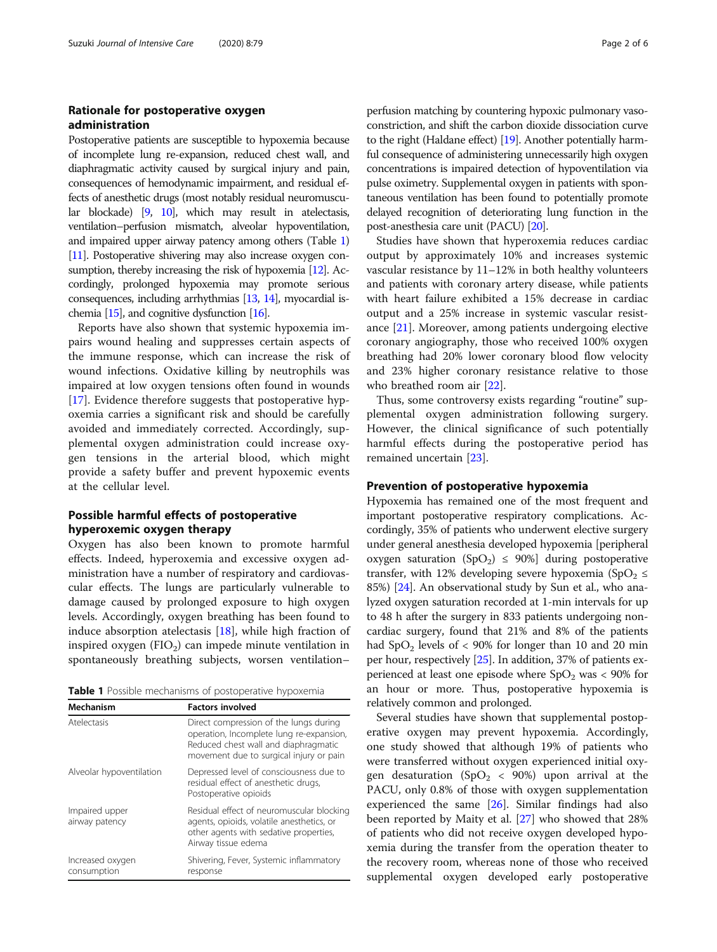## Rationale for postoperative oxygen administration

Postoperative patients are susceptible to hypoxemia because of incomplete lung re-expansion, reduced chest wall, and diaphragmatic activity caused by surgical injury and pain, consequences of hemodynamic impairment, and residual effects of anesthetic drugs (most notably residual neuromuscular blockade) [\[9,](#page-4-0) [10\]](#page-4-0), which may result in atelectasis, ventilation–perfusion mismatch, alveolar hypoventilation, and impaired upper airway patency among others (Table 1) [[11\]](#page-4-0). Postoperative shivering may also increase oxygen con-sumption, thereby increasing the risk of hypoxemia [\[12\]](#page-4-0). Accordingly, prolonged hypoxemia may promote serious consequences, including arrhythmias [[13,](#page-4-0) [14](#page-4-0)], myocardial ischemia [\[15\]](#page-4-0), and cognitive dysfunction [\[16](#page-4-0)].

Reports have also shown that systemic hypoxemia impairs wound healing and suppresses certain aspects of the immune response, which can increase the risk of wound infections. Oxidative killing by neutrophils was impaired at low oxygen tensions often found in wounds [[17\]](#page-4-0). Evidence therefore suggests that postoperative hypoxemia carries a significant risk and should be carefully avoided and immediately corrected. Accordingly, supplemental oxygen administration could increase oxygen tensions in the arterial blood, which might provide a safety buffer and prevent hypoxemic events at the cellular level.

## Possible harmful effects of postoperative hyperoxemic oxygen therapy

Oxygen has also been known to promote harmful effects. Indeed, hyperoxemia and excessive oxygen administration have a number of respiratory and cardiovascular effects. The lungs are particularly vulnerable to damage caused by prolonged exposure to high oxygen levels. Accordingly, oxygen breathing has been found to induce absorption atelectasis [\[18](#page-4-0)], while high fraction of inspired oxygen  $(FIO<sub>2</sub>)$  can impede minute ventilation in spontaneously breathing subjects, worsen ventilation–

Table 1 Possible mechanisms of postoperative hypoxemia

| Mechanism                        | <b>Factors involved</b>                                                                                                                                               |
|----------------------------------|-----------------------------------------------------------------------------------------------------------------------------------------------------------------------|
| Atelectasis                      | Direct compression of the lungs during<br>operation, Incomplete lung re-expansion,<br>Reduced chest wall and diaphragmatic<br>movement due to surgical injury or pain |
| Alveolar hypoventilation         | Depressed level of consciousness due to<br>residual effect of anesthetic drugs,<br>Postoperative opioids                                                              |
| Impaired upper<br>airway patency | Residual effect of neuromuscular blocking<br>agents, opioids, volatile anesthetics, or<br>other agents with sedative properties,<br>Airway tissue edema               |
| Increased oxygen<br>consumption  | Shivering, Fever, Systemic inflammatory<br>response                                                                                                                   |

perfusion matching by countering hypoxic pulmonary vasoconstriction, and shift the carbon dioxide dissociation curve to the right (Haldane effect) [[19](#page-4-0)]. Another potentially harmful consequence of administering unnecessarily high oxygen concentrations is impaired detection of hypoventilation via pulse oximetry. Supplemental oxygen in patients with spontaneous ventilation has been found to potentially promote delayed recognition of deteriorating lung function in the post-anesthesia care unit (PACU) [\[20\]](#page-4-0).

Studies have shown that hyperoxemia reduces cardiac output by approximately 10% and increases systemic vascular resistance by 11–12% in both healthy volunteers and patients with coronary artery disease, while patients with heart failure exhibited a 15% decrease in cardiac output and a 25% increase in systemic vascular resistance [\[21](#page-4-0)]. Moreover, among patients undergoing elective coronary angiography, those who received 100% oxygen breathing had 20% lower coronary blood flow velocity and 23% higher coronary resistance relative to those who breathed room air [\[22](#page-4-0)].

Thus, some controversy exists regarding "routine" supplemental oxygen administration following surgery. However, the clinical significance of such potentially harmful effects during the postoperative period has remained uncertain [[23\]](#page-4-0).

## Prevention of postoperative hypoxemia

Hypoxemia has remained one of the most frequent and important postoperative respiratory complications. Accordingly, 35% of patients who underwent elective surgery under general anesthesia developed hypoxemia [peripheral oxygen saturation  $(SpO<sub>2</sub>) \le 90\%$  during postoperative transfer, with 12% developing severe hypoxemia (SpO<sub>2</sub>  $\leq$ 85%) [[24](#page-4-0)]. An observational study by Sun et al., who analyzed oxygen saturation recorded at 1-min intervals for up to 48 h after the surgery in 833 patients undergoing noncardiac surgery, found that 21% and 8% of the patients had  $SpO<sub>2</sub>$  levels of < 90% for longer than 10 and 20 min per hour, respectively [\[25\]](#page-4-0). In addition, 37% of patients experienced at least one episode where  $SpO<sub>2</sub>$  was < 90% for an hour or more. Thus, postoperative hypoxemia is relatively common and prolonged.

Several studies have shown that supplemental postoperative oxygen may prevent hypoxemia. Accordingly, one study showed that although 19% of patients who were transferred without oxygen experienced initial oxygen desaturation (SpO<sub>2</sub> < 90%) upon arrival at the PACU, only 0.8% of those with oxygen supplementation experienced the same [[26\]](#page-4-0). Similar findings had also been reported by Maity et al. [[27\]](#page-4-0) who showed that 28% of patients who did not receive oxygen developed hypoxemia during the transfer from the operation theater to the recovery room, whereas none of those who received supplemental oxygen developed early postoperative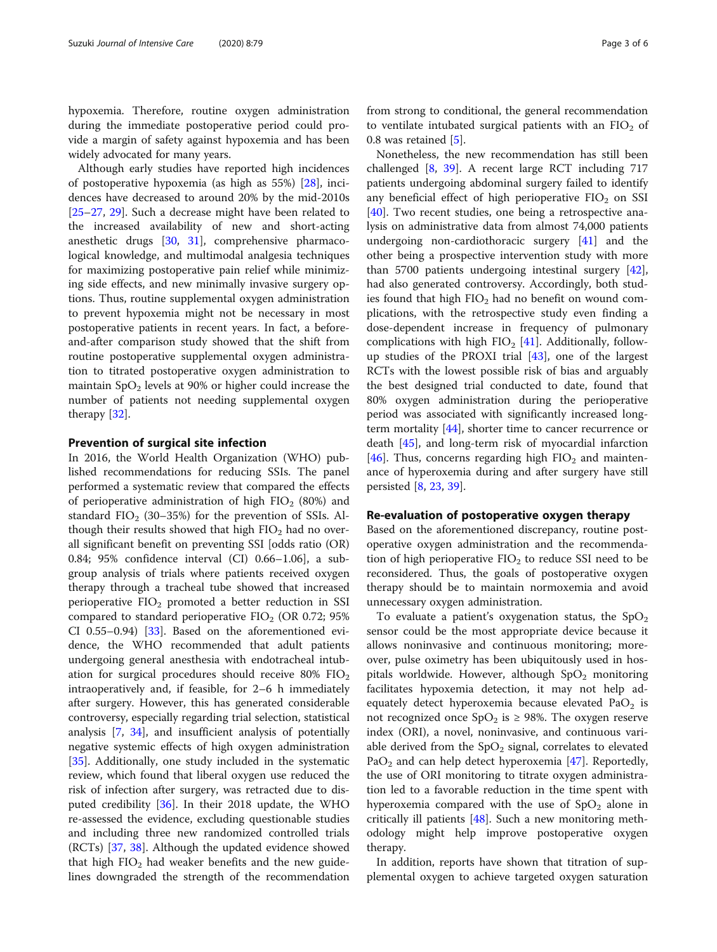hypoxemia. Therefore, routine oxygen administration during the immediate postoperative period could provide a margin of safety against hypoxemia and has been widely advocated for many years.

Although early studies have reported high incidences of postoperative hypoxemia (as high as 55%) [[28\]](#page-4-0), incidences have decreased to around 20% by the mid-2010s [[25](#page-4-0)–[27](#page-4-0), [29\]](#page-4-0). Such a decrease might have been related to the increased availability of new and short-acting anesthetic drugs [\[30](#page-4-0), [31\]](#page-4-0), comprehensive pharmacological knowledge, and multimodal analgesia techniques for maximizing postoperative pain relief while minimizing side effects, and new minimally invasive surgery options. Thus, routine supplemental oxygen administration to prevent hypoxemia might not be necessary in most postoperative patients in recent years. In fact, a beforeand-after comparison study showed that the shift from routine postoperative supplemental oxygen administration to titrated postoperative oxygen administration to maintain  $SpO<sub>2</sub>$  levels at 90% or higher could increase the number of patients not needing supplemental oxygen therapy [\[32](#page-4-0)].

#### Prevention of surgical site infection

In 2016, the World Health Organization (WHO) published recommendations for reducing SSIs. The panel performed a systematic review that compared the effects of perioperative administration of high  $FIO<sub>2</sub>$  (80%) and standard  $FIO<sub>2</sub>$  (30–35%) for the prevention of SSIs. Although their results showed that high  $FIO<sub>2</sub>$  had no overall significant benefit on preventing SSI [odds ratio (OR) 0.84; 95% confidence interval (CI) 0.66–1.06], a subgroup analysis of trials where patients received oxygen therapy through a tracheal tube showed that increased perioperative  $FIO<sub>2</sub>$  promoted a better reduction in SSI compared to standard perioperative  $FIO<sub>2</sub>$  (OR 0.72; 95%) CI 0.55–0.94) [\[33\]](#page-4-0). Based on the aforementioned evidence, the WHO recommended that adult patients undergoing general anesthesia with endotracheal intubation for surgical procedures should receive  $80\%$   $FIO<sub>2</sub>$ intraoperatively and, if feasible, for 2–6 h immediately after surgery. However, this has generated considerable controversy, especially regarding trial selection, statistical analysis [\[7](#page-4-0), [34\]](#page-4-0), and insufficient analysis of potentially negative systemic effects of high oxygen administration [[35\]](#page-4-0). Additionally, one study included in the systematic review, which found that liberal oxygen use reduced the risk of infection after surgery, was retracted due to disputed credibility [[36\]](#page-4-0). In their 2018 update, the WHO re-assessed the evidence, excluding questionable studies and including three new randomized controlled trials (RCTs) [[37](#page-4-0), [38\]](#page-4-0). Although the updated evidence showed that high  $FIO<sub>2</sub>$  had weaker benefits and the new guidelines downgraded the strength of the recommendation

from strong to conditional, the general recommendation to ventilate intubated surgical patients with an  $FIO<sub>2</sub>$  of 0.8 was retained [[5\]](#page-4-0).

Nonetheless, the new recommendation has still been challenged [\[8](#page-4-0), [39](#page-4-0)]. A recent large RCT including 717 patients undergoing abdominal surgery failed to identify any beneficial effect of high perioperative  $FIO<sub>2</sub>$  on SSI [[40\]](#page-4-0). Two recent studies, one being a retrospective analysis on administrative data from almost 74,000 patients undergoing non-cardiothoracic surgery [[41](#page-4-0)] and the other being a prospective intervention study with more than 5700 patients undergoing intestinal surgery [\[42](#page-4-0)], had also generated controversy. Accordingly, both studies found that high  $FIO<sub>2</sub>$  had no benefit on wound complications, with the retrospective study even finding a dose-dependent increase in frequency of pulmonary complications with high  $FIO<sub>2</sub> [41]$  $FIO<sub>2</sub> [41]$ . Additionally, followup studies of the PROXI trial [[43\]](#page-4-0), one of the largest RCTs with the lowest possible risk of bias and arguably the best designed trial conducted to date, found that 80% oxygen administration during the perioperative period was associated with significantly increased longterm mortality [[44](#page-4-0)], shorter time to cancer recurrence or death [[45](#page-5-0)], and long-term risk of myocardial infarction [[46\]](#page-5-0). Thus, concerns regarding high  $FIO<sub>2</sub>$  and maintenance of hyperoxemia during and after surgery have still persisted [[8,](#page-4-0) [23,](#page-4-0) [39\]](#page-4-0).

### Re-evaluation of postoperative oxygen therapy

Based on the aforementioned discrepancy, routine postoperative oxygen administration and the recommendation of high perioperative  $FIO<sub>2</sub>$  to reduce SSI need to be reconsidered. Thus, the goals of postoperative oxygen therapy should be to maintain normoxemia and avoid unnecessary oxygen administration.

To evaluate a patient's oxygenation status, the  $SpO<sub>2</sub>$ sensor could be the most appropriate device because it allows noninvasive and continuous monitoring; moreover, pulse oximetry has been ubiquitously used in hospitals worldwide. However, although  $SpO<sub>2</sub>$  monitoring facilitates hypoxemia detection, it may not help adequately detect hyperoxemia because elevated  $PaO<sub>2</sub>$  is not recognized once  $SpO<sub>2</sub>$  is  $\geq$  98%. The oxygen reserve index (ORI), a novel, noninvasive, and continuous variable derived from the  $SpO<sub>2</sub>$  signal, correlates to elevated PaO<sub>2</sub> and can help detect hyperoxemia [[47](#page-5-0)]. Reportedly, the use of ORI monitoring to titrate oxygen administration led to a favorable reduction in the time spent with hyperoxemia compared with the use of  $SpO<sub>2</sub>$  alone in critically ill patients [\[48](#page-5-0)]. Such a new monitoring methodology might help improve postoperative oxygen therapy.

In addition, reports have shown that titration of supplemental oxygen to achieve targeted oxygen saturation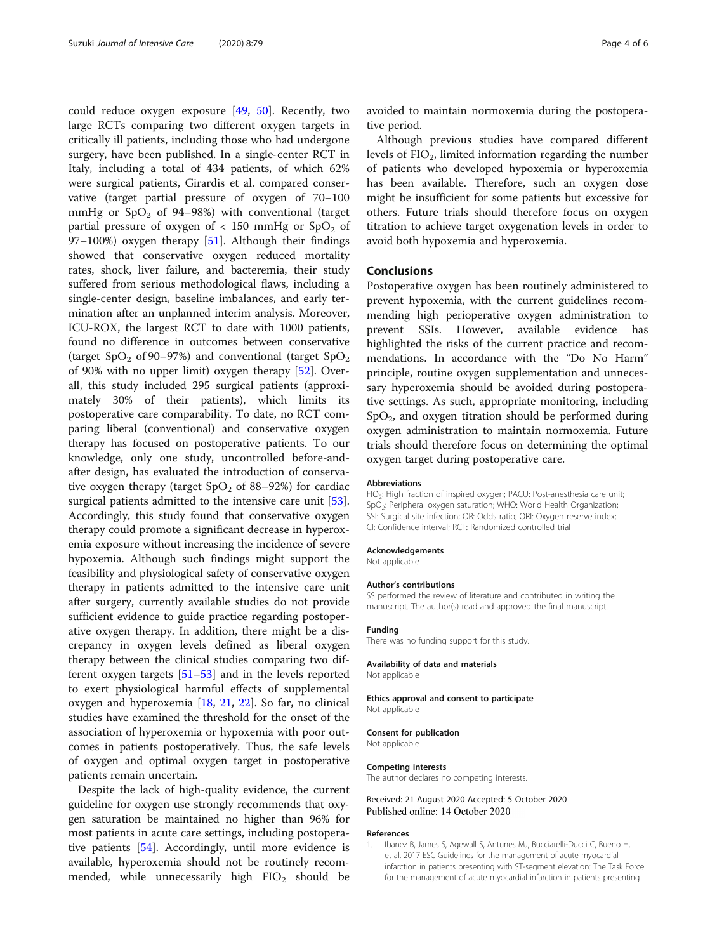<span id="page-3-0"></span>could reduce oxygen exposure [[49,](#page-5-0) [50\]](#page-5-0). Recently, two large RCTs comparing two different oxygen targets in critically ill patients, including those who had undergone surgery, have been published. In a single-center RCT in Italy, including a total of 434 patients, of which 62% were surgical patients, Girardis et al. compared conservative (target partial pressure of oxygen of 70–100 mmHg or  $SpO<sub>2</sub>$  of 94–98%) with conventional (target partial pressure of oxygen of  $< 150$  mmHg or  $SpO<sub>2</sub>$  of 97–100%) oxygen therapy [[51](#page-5-0)]. Although their findings showed that conservative oxygen reduced mortality rates, shock, liver failure, and bacteremia, their study suffered from serious methodological flaws, including a single-center design, baseline imbalances, and early termination after an unplanned interim analysis. Moreover, ICU-ROX, the largest RCT to date with 1000 patients, found no difference in outcomes between conservative (target SpO<sub>2</sub> of 90–97%) and conventional (target SpO<sub>2</sub>) of 90% with no upper limit) oxygen therapy [[52\]](#page-5-0). Overall, this study included 295 surgical patients (approximately 30% of their patients), which limits its postoperative care comparability. To date, no RCT comparing liberal (conventional) and conservative oxygen therapy has focused on postoperative patients. To our knowledge, only one study, uncontrolled before-andafter design, has evaluated the introduction of conservative oxygen therapy (target  $SpO<sub>2</sub>$  of 88–92%) for cardiac surgical patients admitted to the intensive care unit [\[53](#page-5-0)]. Accordingly, this study found that conservative oxygen therapy could promote a significant decrease in hyperoxemia exposure without increasing the incidence of severe hypoxemia. Although such findings might support the feasibility and physiological safety of conservative oxygen therapy in patients admitted to the intensive care unit after surgery, currently available studies do not provide sufficient evidence to guide practice regarding postoperative oxygen therapy. In addition, there might be a discrepancy in oxygen levels defined as liberal oxygen therapy between the clinical studies comparing two different oxygen targets [[51](#page-5-0)–[53](#page-5-0)] and in the levels reported to exert physiological harmful effects of supplemental oxygen and hyperoxemia [\[18,](#page-4-0) [21,](#page-4-0) [22](#page-4-0)]. So far, no clinical studies have examined the threshold for the onset of the association of hyperoxemia or hypoxemia with poor outcomes in patients postoperatively. Thus, the safe levels of oxygen and optimal oxygen target in postoperative patients remain uncertain.

Despite the lack of high-quality evidence, the current guideline for oxygen use strongly recommends that oxygen saturation be maintained no higher than 96% for most patients in acute care settings, including postoperative patients [[54](#page-5-0)]. Accordingly, until more evidence is available, hyperoxemia should not be routinely recommended, while unnecessarily high  $FIO<sub>2</sub>$  should be avoided to maintain normoxemia during the postoperative period.

Although previous studies have compared different levels of  $FIO<sub>2</sub>$ , limited information regarding the number of patients who developed hypoxemia or hyperoxemia has been available. Therefore, such an oxygen dose might be insufficient for some patients but excessive for others. Future trials should therefore focus on oxygen titration to achieve target oxygenation levels in order to avoid both hypoxemia and hyperoxemia.

### Conclusions

Postoperative oxygen has been routinely administered to prevent hypoxemia, with the current guidelines recommending high perioperative oxygen administration to prevent SSIs. However, available evidence highlighted the risks of the current practice and recommendations. In accordance with the "Do No Harm" principle, routine oxygen supplementation and unnecessary hyperoxemia should be avoided during postoperative settings. As such, appropriate monitoring, including  $SpO<sub>2</sub>$ , and oxygen titration should be performed during oxygen administration to maintain normoxemia. Future trials should therefore focus on determining the optimal oxygen target during postoperative care.

#### **Abbreviations**

FIO<sub>2</sub>: High fraction of inspired oxygen; PACU: Post-anesthesia care unit; SpO<sub>2</sub>: Peripheral oxygen saturation; WHO: World Health Organization; SSI: Surgical site infection; OR: Odds ratio; ORI: Oxygen reserve index; CI: Confidence interval; RCT: Randomized controlled trial

#### Acknowledgements

Not applicable

#### Author's contributions

SS performed the review of literature and contributed in writing the manuscript. The author(s) read and approved the final manuscript.

#### Funding

There was no funding support for this study.

#### Availability of data and materials

Not applicable

#### Ethics approval and consent to participate Not applicable

## Consent for publication

Not applicable

#### Competing interests

The author declares no competing interests.

Received: 21 August 2020 Accepted: 5 October 2020 Published online: 14 October 2020

#### References

1. Ibanez B, James S, Agewall S, Antunes MJ, Bucciarelli-Ducci C, Bueno H, et al. 2017 ESC Guidelines for the management of acute myocardia infarction in patients presenting with ST-segment elevation: The Task Force for the management of acute myocardial infarction in patients presenting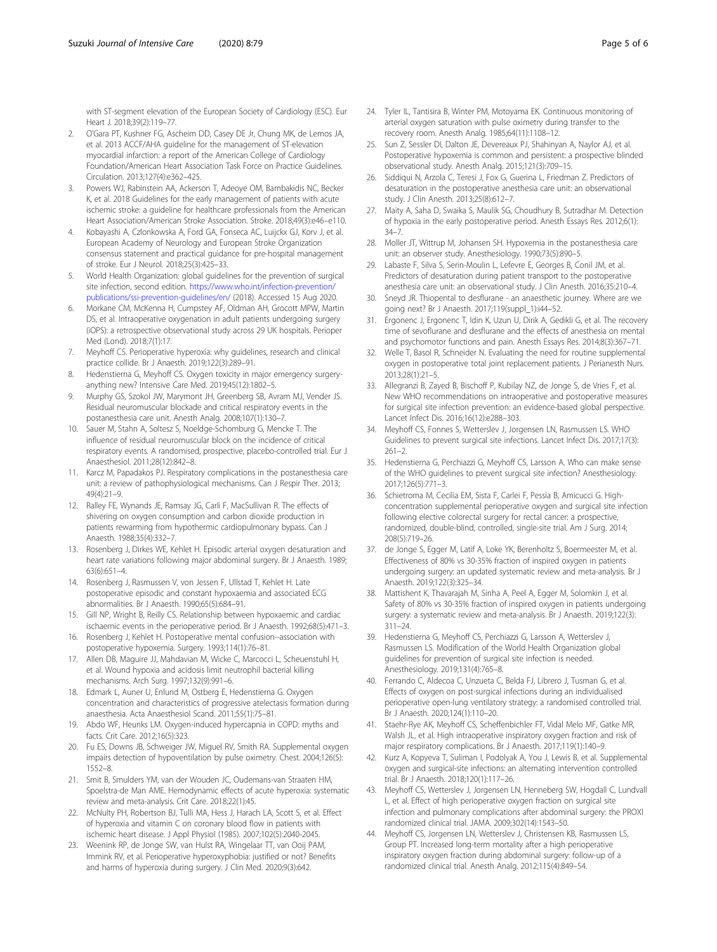<span id="page-4-0"></span>with ST-segment elevation of the European Society of Cardiology (ESC). Eur Heart J. 2018;39(2):119–77.

- 2. O'Gara PT, Kushner FG, Ascheim DD, Casey DE Jr, Chung MK, de Lemos JA, et al. 2013 ACCF/AHA guideline for the management of ST-elevation myocardial infarction: a report of the American College of Cardiology Foundation/American Heart Association Task Force on Practice Guidelines. Circulation. 2013;127(4):e362–425.
- Powers WJ, Rabinstein AA, Ackerson T, Adeoye OM, Bambakidis NC, Becker K, et al. 2018 Guidelines for the early management of patients with acute ischemic stroke: a guideline for healthcare professionals from the American Heart Association/American Stroke Association. Stroke. 2018;49(3):e46–e110.
- 4. Kobayashi A, Czlonkowska A, Ford GA, Fonseca AC, Luijckx GJ, Korv J, et al. European Academy of Neurology and European Stroke Organization consensus statement and practical guidance for pre-hospital management of stroke. Eur J Neurol. 2018;25(3):425–33.
- 5. World Health Organization: global guidelines for the prevention of surgical site infection, second edition. [https://www.who.int/infection-prevention/](https://www.who.int/infection-prevention/publications/ssi-prevention-guidelines/en/) [publications/ssi-prevention-guidelines/en/](https://www.who.int/infection-prevention/publications/ssi-prevention-guidelines/en/) (2018). Accessed 15 Aug 2020.
- 6. Morkane CM, McKenna H, Cumpstey AF, Oldman AH, Grocott MPW, Martin DS, et al. Intraoperative oxygenation in adult patients undergoing surgery (iOPS): a retrospective observational study across 29 UK hospitals. Perioper Med (Lond). 2018;7(1):17.
- 7. Meyhoff CS. Perioperative hyperoxia: why guidelines, research and clinical practice collide. Br J Anaesth. 2019;122(3):289–91.
- Hedenstierna G, Meyhoff CS. Oxygen toxicity in major emergency surgeryanything new? Intensive Care Med. 2019;45(12):1802–5.
- 9. Murphy GS, Szokol JW, Marymont JH, Greenberg SB, Avram MJ, Vender JS. Residual neuromuscular blockade and critical respiratory events in the postanesthesia care unit. Anesth Analg. 2008;107(1):130–7.
- 10. Sauer M, Stahn A, Soltesz S, Noeldge-Schomburg G, Mencke T. The influence of residual neuromuscular block on the incidence of critical respiratory events. A randomised, prospective, placebo-controlled trial. Eur J Anaesthesiol. 2011;28(12):842–8.
- 11. Karcz M, Papadakos PJ. Respiratory complications in the postanesthesia care unit: a review of pathophysiological mechanisms. Can J Respir Ther. 2013; 49(4):21–9.
- 12. Ralley FE, Wynands JE, Ramsay JG, Carli F, MacSullivan R. The effects of shivering on oxygen consumption and carbon dioxide production in patients rewarming from hypothermic cardiopulmonary bypass. Can J Anaesth. 1988;35(4):332–7.
- 13. Rosenberg J, Dirkes WE, Kehlet H. Episodic arterial oxygen desaturation and heart rate variations following major abdominal surgery. Br J Anaesth. 1989; 63(6):651–4.
- 14. Rosenberg J, Rasmussen V, von Jessen F, Ullstad T, Kehlet H. Late postoperative episodic and constant hypoxaemia and associated ECG abnormalities. Br J Anaesth. 1990;65(5):684–91.
- 15. Gill NP, Wright B, Reilly CS. Relationship between hypoxaemic and cardiac ischaemic events in the perioperative period. Br J Anaesth. 1992;68(5):471–3.
- 16. Rosenberg J, Kehlet H. Postoperative mental confusion--association with postoperative hypoxemia. Surgery. 1993;114(1):76–81.
- 17. Allen DB, Maguire JJ, Mahdavian M, Wicke C, Marcocci L, Scheuenstuhl H, et al. Wound hypoxia and acidosis limit neutrophil bacterial killing mechanisms. Arch Surg. 1997;132(9):991–6.
- 18. Edmark L, Auner U, Enlund M, Ostberg E, Hedenstierna G. Oxygen concentration and characteristics of progressive atelectasis formation during anaesthesia. Acta Anaesthesiol Scand. 2011;55(1):75–81.
- 19. Abdo WF, Heunks LM. Oxygen-induced hypercapnia in COPD: myths and facts. Crit Care. 2012;16(5):323.
- 20. Fu ES, Downs JB, Schweiger JW, Miguel RV, Smith RA. Supplemental oxygen impairs detection of hypoventilation by pulse oximetry. Chest. 2004;126(5): 1552–8.
- 21. Smit B, Smulders YM, van der Wouden JC, Oudemans-van Straaten HM, Spoelstra-de Man AME. Hemodynamic effects of acute hyperoxia: systematic review and meta-analysis. Crit Care. 2018;22(1):45.
- 22. McNulty PH, Robertson BJ, Tulli MA, Hess J, Harach LA, Scott S, et al. Effect of hyperoxia and vitamin C on coronary blood flow in patients with ischemic heart disease. J Appl Physiol (1985). 2007;102(5):2040-2045.
- 23. Weenink RP, de Jonge SW, van Hulst RA, Wingelaar TT, van Ooij PAM, Immink RV, et al. Perioperative hyperoxyphobia: justified or not? Benefits and harms of hyperoxia during surgery. J Clin Med. 2020;9(3):642.
- 24. Tyler IL, Tantisira B, Winter PM, Motoyama EK. Continuous monitoring of arterial oxygen saturation with pulse oximetry during transfer to the recovery room. Anesth Analg. 1985;64(11):1108–12.
- 25. Sun Z, Sessler DI, Dalton JE, Devereaux PJ, Shahinyan A, Naylor AJ, et al. Postoperative hypoxemia is common and persistent: a prospective blinded observational study. Anesth Analg. 2015;121(3):709–15.
- 26. Siddiqui N, Arzola C, Teresi J, Fox G, Guerina L, Friedman Z. Predictors of desaturation in the postoperative anesthesia care unit: an observational study. J Clin Anesth. 2013;25(8):612–7.
- 27. Maity A, Saha D, Swaika S, Maulik SG, Choudhury B, Sutradhar M. Detection of hypoxia in the early postoperative period. Anesth Essays Res. 2012;6(1): 34–7.
- 28. Moller JT, Wittrup M, Johansen SH. Hypoxemia in the postanesthesia care unit: an observer study. Anesthesiology. 1990;73(5):890–5.
- 29. Labaste F, Silva S, Serin-Moulin L, Lefevre E, Georges B, Conil JM, et al. Predictors of desaturation during patient transport to the postoperative anesthesia care unit: an observational study. J Clin Anesth. 2016;35:210–4.
- 30. Sneyd JR. Thiopental to desflurane an anaesthetic journey. Where are we going next? Br J Anaesth. 2017;119(suppl\_1):i44–52.
- 31. Ergonenc J, Ergonenc T, Idin K, Uzun U, Dirik A, Gedikli G, et al. The recovery time of sevoflurane and desflurane and the effects of anesthesia on mental and psychomotor functions and pain. Anesth Essays Res. 2014;8(3):367–71.
- 32. Welle T, Basol R, Schneider N. Evaluating the need for routine supplemental oxygen in postoperative total joint replacement patients. J Perianesth Nurs. 2013;28(1):21–5.
- 33. Allegranzi B, Zayed B, Bischoff P, Kubilay NZ, de Jonge S, de Vries F, et al. New WHO recommendations on intraoperative and postoperative measures for surgical site infection prevention: an evidence-based global perspective. Lancet Infect Dis. 2016;16(12):e288–303.
- 34. Meyhoff CS, Fonnes S, Wetterslev J, Jorgensen LN, Rasmussen LS. WHO Guidelines to prevent surgical site infections. Lancet Infect Dis. 2017;17(3): 261–2.
- 35. Hedenstierna G, Perchiazzi G, Meyhoff CS, Larsson A. Who can make sense of the WHO guidelines to prevent surgical site infection? Anesthesiology. 2017;126(5):771–3.
- 36. Schietroma M, Cecilia EM, Sista F, Carlei F, Pessia B, Amicucci G. Highconcentration supplemental perioperative oxygen and surgical site infection following elective colorectal surgery for rectal cancer: a prospective, randomized, double-blind, controlled, single-site trial. Am J Surg. 2014; 208(5):719–26.
- 37. de Jonge S, Egger M, Latif A, Loke YK, Berenholtz S, Boermeester M, et al. Effectiveness of 80% vs 30-35% fraction of inspired oxygen in patients undergoing surgery: an updated systematic review and meta-analysis. Br J Anaesth. 2019;122(3):325–34.
- 38. Mattishent K, Thavarajah M, Sinha A, Peel A, Egger M, Solomkin J, et al. Safety of 80% vs 30-35% fraction of inspired oxygen in patients undergoing surgery: a systematic review and meta-analysis. Br J Anaesth. 2019;122(3): 311–24.
- 39. Hedenstierna G, Meyhoff CS, Perchiazzi G, Larsson A, Wetterslev J, Rasmussen LS. Modification of the World Health Organization global guidelines for prevention of surgical site infection is needed. Anesthesiology. 2019;131(4):765–8.
- 40. Ferrando C, Aldecoa C, Unzueta C, Belda FJ, Librero J, Tusman G, et al. Effects of oxygen on post-surgical infections during an individualised perioperative open-lung ventilatory strategy: a randomised controlled trial. Br J Anaesth. 2020;124(1):110–20.
- 41. Staehr-Rye AK, Meyhoff CS, Scheffenbichler FT, Vidal Melo MF, Gatke MR, Walsh JL, et al. High intraoperative inspiratory oxygen fraction and risk of major respiratory complications. Br J Anaesth. 2017;119(1):140–9.
- 42. Kurz A, Kopyeva T, Suliman I, Podolyak A, You J, Lewis B, et al. Supplemental oxygen and surgical-site infections: an alternating intervention controlled trial. Br J Anaesth. 2018;120(1):117–26.
- 43. Meyhoff CS, Wetterslev J, Jorgensen LN, Henneberg SW, Hogdall C, Lundvall L, et al. Effect of high perioperative oxygen fraction on surgical site infection and pulmonary complications after abdominal surgery: the PROXI randomized clinical trial. JAMA. 2009;302(14):1543–50.
- 44. Meyhoff CS, Jorgensen LN, Wetterslev J, Christensen KB, Rasmussen LS, Group PT. Increased long-term mortality after a high perioperative inspiratory oxygen fraction during abdominal surgery: follow-up of a randomized clinical trial. Anesth Analg. 2012;115(4):849–54.